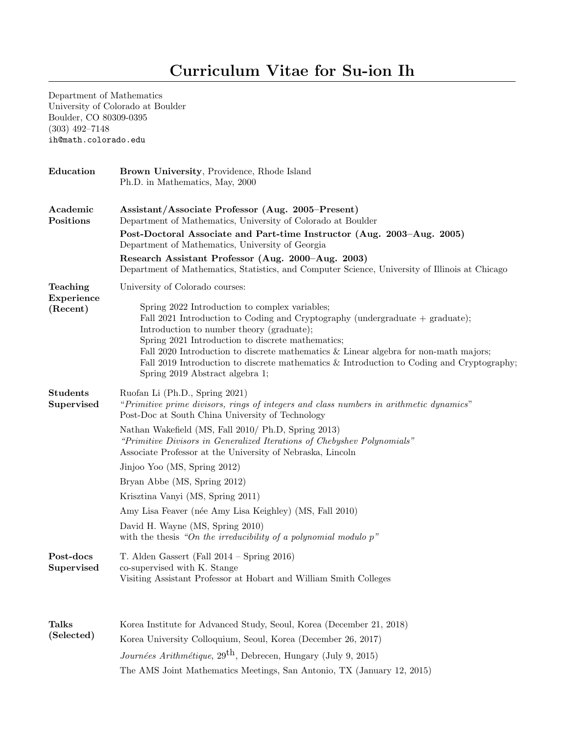## Curriculum Vitae for Su-ion Ih

Department of Mathematics University of Colorado at Boulder Boulder, CO 80309-0395 (303) 492–7148 ih@math.colorado.edu

| Education                          | Brown University, Providence, Rhode Island<br>Ph.D. in Mathematics, May, 2000                                                                                                                                                                                                                                                                                                                                                                                                                                                                                                                                                                           |
|------------------------------------|---------------------------------------------------------------------------------------------------------------------------------------------------------------------------------------------------------------------------------------------------------------------------------------------------------------------------------------------------------------------------------------------------------------------------------------------------------------------------------------------------------------------------------------------------------------------------------------------------------------------------------------------------------|
| Academic<br>Positions              | Assistant/Associate Professor (Aug. 2005–Present)<br>Department of Mathematics, University of Colorado at Boulder<br>Post-Doctoral Associate and Part-time Instructor (Aug. 2003–Aug. 2005)<br>Department of Mathematics, University of Georgia<br>Research Assistant Professor (Aug. 2000–Aug. 2003)<br>Department of Mathematics, Statistics, and Computer Science, University of Illinois at Chicago                                                                                                                                                                                                                                                 |
| Teaching<br>Experience<br>(Recent) | University of Colorado courses:<br>Spring 2022 Introduction to complex variables;<br>Fall 2021 Introduction to Coding and Cryptography (undergraduate $+$ graduate);<br>Introduction to number theory (graduate);<br>Spring 2021 Introduction to discrete mathematics;<br>Fall 2020 Introduction to discrete mathematics $&$ Linear algebra for non-math majors;<br>Fall 2019 Introduction to discrete mathematics & Introduction to Coding and Cryptography;<br>Spring 2019 Abstract algebra 1;                                                                                                                                                        |
| <b>Students</b><br>Supervised      | Ruofan Li (Ph.D., Spring 2021)<br>"Primitive prime divisors, rings of integers and class numbers in arithmetic dynamics"<br>Post-Doc at South China University of Technology<br>Nathan Wakefield (MS, Fall 2010/ Ph.D, Spring 2013)<br>"Primitive Divisors in Generalized Iterations of Chebyshev Polynomials"<br>Associate Professor at the University of Nebraska, Lincoln<br>Jinjoo Yoo (MS, Spring 2012)<br>Bryan Abbe (MS, Spring 2012)<br>Krisztina Vanyi (MS, Spring 2011)<br>Amy Lisa Feaver (née Amy Lisa Keighley) (MS, Fall 2010)<br>David H. Wayne (MS, Spring 2010)<br>with the thesis "On the irreducibility of a polynomial modulo $p$ " |
| Post-docs<br>Supervised            | T. Alden Gassert (Fall $2014$ – Spring $2016$ )<br>co-supervised with K. Stange<br>Visiting Assistant Professor at Hobart and William Smith Colleges                                                                                                                                                                                                                                                                                                                                                                                                                                                                                                    |
| <b>Talks</b><br>(Selected)         | Korea Institute for Advanced Study, Seoul, Korea (December 21, 2018)<br>Korea University Colloquium, Seoul, Korea (December 26, 2017)<br>Journées Arithmétique, $29^{th}$ , Debrecen, Hungary (July 9, 2015)<br>The AMS Joint Mathematics Meetings, San Antonio, TX (January 12, 2015)                                                                                                                                                                                                                                                                                                                                                                  |